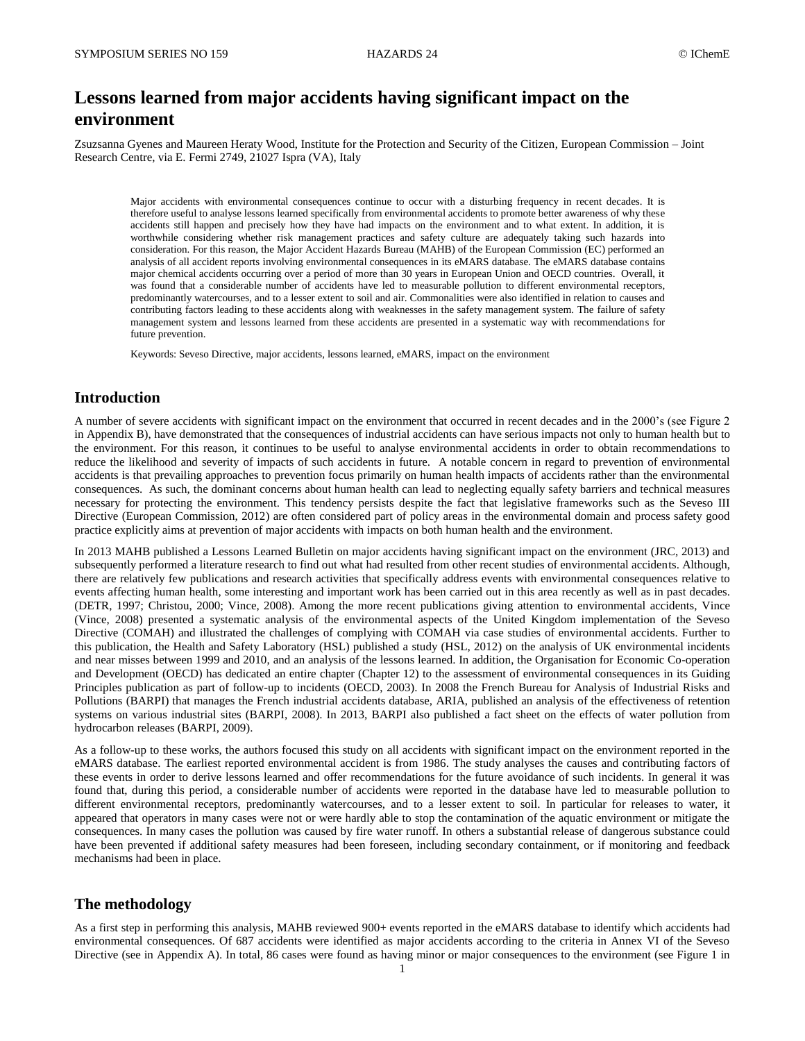# **Lessons learned from major accidents having significant impact on the environment**

Zsuzsanna Gyenes and Maureen Heraty Wood, Institute for the Protection and Security of the Citizen, European Commission – Joint Research Centre, via E. Fermi 2749, 21027 Ispra (VA), Italy

Major accidents with environmental consequences continue to occur with a disturbing frequency in recent decades. It is therefore useful to analyse lessons learned specifically from environmental accidents to promote better awareness of why these accidents still happen and precisely how they have had impacts on the environment and to what extent. In addition, it is worthwhile considering whether risk management practices and safety culture are adequately taking such hazards into consideration. For this reason, the Major Accident Hazards Bureau (MAHB) of the European Commission (EC) performed an analysis of all accident reports involving environmental consequences in its eMARS database. The eMARS database contains major chemical accidents occurring over a period of more than 30 years in European Union and OECD countries. Overall, it was found that a considerable number of accidents have led to measurable pollution to different environmental receptors, predominantly watercourses, and to a lesser extent to soil and air. Commonalities were also identified in relation to causes and contributing factors leading to these accidents along with weaknesses in the safety management system. The failure of safety management system and lessons learned from these accidents are presented in a systematic way with recommendations for future prevention.

Keywords: Seveso Directive, major accidents, lessons learned, eMARS, impact on the environment

### **Introduction**

A number of severe accidents with significant impact on the environment that occurred in recent decades and in the 2000's (see Figure 2 in Appendix B), have demonstrated that the consequences of industrial accidents can have serious impacts not only to human health but to the environment. For this reason, it continues to be useful to analyse environmental accidents in order to obtain recommendations to reduce the likelihood and severity of impacts of such accidents in future. A notable concern in regard to prevention of environmental accidents is that prevailing approaches to prevention focus primarily on human health impacts of accidents rather than the environmental consequences. As such, the dominant concerns about human health can lead to neglecting equally safety barriers and technical measures necessary for protecting the environment. This tendency persists despite the fact that legislative frameworks such as the Seveso III Directive (European Commission, 2012) are often considered part of policy areas in the environmental domain and process safety good practice explicitly aims at prevention of major accidents with impacts on both human health and the environment.

In 2013 MAHB published a Lessons Learned Bulletin on major accidents having significant impact on the environment (JRC, 2013) and subsequently performed a literature research to find out what had resulted from other recent studies of environmental accidents. Although, there are relatively few publications and research activities that specifically address events with environmental consequences relative to events affecting human health, some interesting and important work has been carried out in this area recently as well as in past decades. (DETR, 1997; Christou, 2000; Vince, 2008). Among the more recent publications giving attention to environmental accidents, Vince (Vince, 2008) presented a systematic analysis of the environmental aspects of the United Kingdom implementation of the Seveso Directive (COMAH) and illustrated the challenges of complying with COMAH via case studies of environmental accidents. Further to this publication, the Health and Safety Laboratory (HSL) published a study (HSL, 2012) on the analysis of UK environmental incidents and near misses between 1999 and 2010, and an analysis of the lessons learned. In addition, the Organisation for Economic Co-operation and Development (OECD) has dedicated an entire chapter (Chapter 12) to the assessment of environmental consequences in its Guiding Principles publication as part of follow-up to incidents (OECD, 2003). In 2008 the French Bureau for Analysis of Industrial Risks and Pollutions (BARPI) that manages the French industrial accidents database, ARIA, published an analysis of the effectiveness of retention systems on various industrial sites (BARPI, 2008). In 2013, BARPI also published a fact sheet on the effects of water pollution from hydrocarbon releases (BARPI, 2009).

As a follow-up to these works, the authors focused this study on all accidents with significant impact on the environment reported in the eMARS database. The earliest reported environmental accident is from 1986. The study analyses the causes and contributing factors of these events in order to derive lessons learned and offer recommendations for the future avoidance of such incidents. In general it was found that, during this period, a considerable number of accidents were reported in the database have led to measurable pollution to different environmental receptors, predominantly watercourses, and to a lesser extent to soil. In particular for releases to water, it appeared that operators in many cases were not or were hardly able to stop the contamination of the aquatic environment or mitigate the consequences. In many cases the pollution was caused by fire water runoff. In others a substantial release of dangerous substance could have been prevented if additional safety measures had been foreseen, including secondary containment, or if monitoring and feedback mechanisms had been in place.

### **The methodology**

As a first step in performing this analysis, MAHB reviewed 900+ events reported in the eMARS database to identify which accidents had environmental consequences. Of 687 accidents were identified as major accidents according to the criteria in Annex VI of the Seveso Directive (see in Appendix A). In total, 86 cases were found as having minor or major consequences to the environment (see Figure 1 in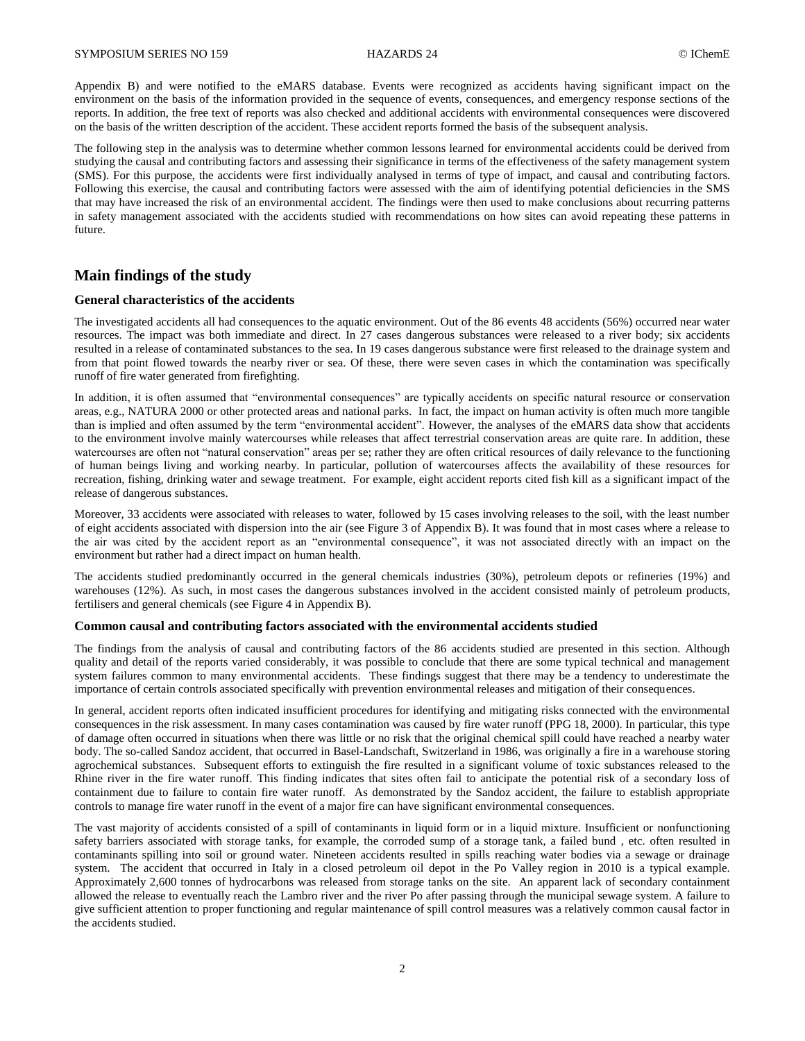Appendix B) and were notified to the eMARS database. Events were recognized as accidents having significant impact on the environment on the basis of the information provided in the sequence of events, consequences, and emergency response sections of the reports. In addition, the free text of reports was also checked and additional accidents with environmental consequences were discovered on the basis of the written description of the accident. These accident reports formed the basis of the subsequent analysis.

The following step in the analysis was to determine whether common lessons learned for environmental accidents could be derived from studying the causal and contributing factors and assessing their significance in terms of the effectiveness of the safety management system (SMS). For this purpose, the accidents were first individually analysed in terms of type of impact, and causal and contributing factors. Following this exercise, the causal and contributing factors were assessed with the aim of identifying potential deficiencies in the SMS that may have increased the risk of an environmental accident. The findings were then used to make conclusions about recurring patterns in safety management associated with the accidents studied with recommendations on how sites can avoid repeating these patterns in future.

### **Main findings of the study**

#### **General characteristics of the accidents**

The investigated accidents all had consequences to the aquatic environment. Out of the 86 events 48 accidents (56%) occurred near water resources. The impact was both immediate and direct. In 27 cases dangerous substances were released to a river body; six accidents resulted in a release of contaminated substances to the sea. In 19 cases dangerous substance were first released to the drainage system and from that point flowed towards the nearby river or sea. Of these, there were seven cases in which the contamination was specifically runoff of fire water generated from firefighting.

In addition, it is often assumed that "environmental consequences" are typically accidents on specific natural resource or conservation areas, e.g., NATURA 2000 or other protected areas and national parks. In fact, the impact on human activity is often much more tangible than is implied and often assumed by the term "environmental accident". However, the analyses of the eMARS data show that accidents to the environment involve mainly watercourses while releases that affect terrestrial conservation areas are quite rare. In addition, these watercourses are often not "natural conservation" areas per se; rather they are often critical resources of daily relevance to the functioning of human beings living and working nearby. In particular, pollution of watercourses affects the availability of these resources for recreation, fishing, drinking water and sewage treatment. For example, eight accident reports cited fish kill as a significant impact of the release of dangerous substances.

Moreover, 33 accidents were associated with releases to water, followed by 15 cases involving releases to the soil, with the least number of eight accidents associated with dispersion into the air (see Figure 3 of Appendix B). It was found that in most cases where a release to the air was cited by the accident report as an "environmental consequence", it was not associated directly with an impact on the environment but rather had a direct impact on human health.

The accidents studied predominantly occurred in the general chemicals industries (30%), petroleum depots or refineries (19%) and warehouses (12%). As such, in most cases the dangerous substances involved in the accident consisted mainly of petroleum products, fertilisers and general chemicals (see Figure 4 in Appendix B).

#### **Common causal and contributing factors associated with the environmental accidents studied**

The findings from the analysis of causal and contributing factors of the 86 accidents studied are presented in this section. Although quality and detail of the reports varied considerably, it was possible to conclude that there are some typical technical and management system failures common to many environmental accidents. These findings suggest that there may be a tendency to underestimate the importance of certain controls associated specifically with prevention environmental releases and mitigation of their consequences.

In general, accident reports often indicated insufficient procedures for identifying and mitigating risks connected with the environmental consequences in the risk assessment. In many cases contamination was caused by fire water runoff (PPG 18, 2000). In particular, this type of damage often occurred in situations when there was little or no risk that the original chemical spill could have reached a nearby water body. The so-called Sandoz accident, that occurred in Basel-Landschaft, Switzerland in 1986, was originally a fire in a warehouse storing agrochemical substances. Subsequent efforts to extinguish the fire resulted in a significant volume of toxic substances released to the Rhine river in the fire water runoff. This finding indicates that sites often fail to anticipate the potential risk of a secondary loss of containment due to failure to contain fire water runoff. As demonstrated by the Sandoz accident, the failure to establish appropriate controls to manage fire water runoff in the event of a major fire can have significant environmental consequences.

The vast majority of accidents consisted of a spill of contaminants in liquid form or in a liquid mixture. Insufficient or nonfunctioning safety barriers associated with storage tanks, for example, the corroded sump of a storage tank, a failed bund , etc. often resulted in contaminants spilling into soil or ground water. Nineteen accidents resulted in spills reaching water bodies via a sewage or drainage system. The accident that occurred in Italy in a closed petroleum oil depot in the Po Valley region in 2010 is a typical example. Approximately 2,600 tonnes of hydrocarbons was released from storage tanks on the site. An apparent lack of secondary containment allowed the release to eventually reach the Lambro river and the river Po after passing through the municipal sewage system. A failure to give sufficient attention to proper functioning and regular maintenance of spill control measures was a relatively common causal factor in the accidents studied.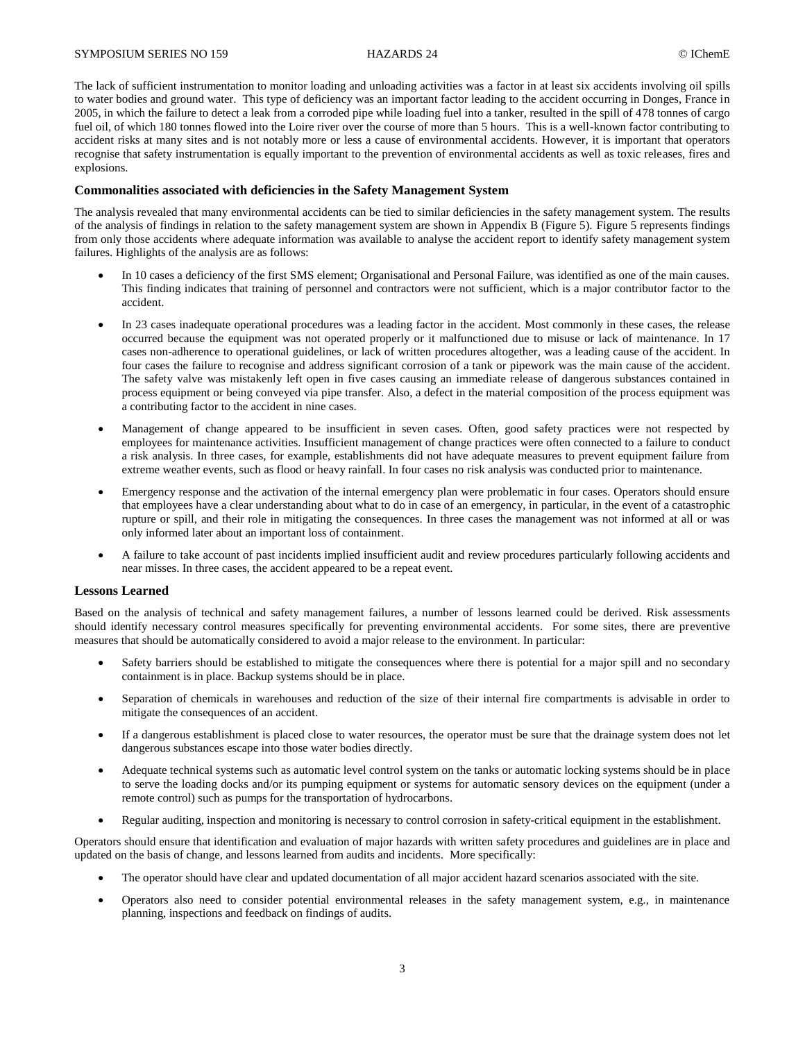#### SYMPOSIUM SERIES NO 159 **HAZARDS 24** HAZARDS 24 © IChemE

The lack of sufficient instrumentation to monitor loading and unloading activities was a factor in at least six accidents involving oil spills to water bodies and ground water. This type of deficiency was an important factor leading to the accident occurring in Donges, France in 2005, in which the failure to detect a leak from a corroded pipe while loading fuel into a tanker, resulted in the spill of 478 tonnes of cargo fuel oil, of which 180 tonnes flowed into the Loire river over the course of more than 5 hours. This is a well-known factor contributing to accident risks at many sites and is not notably more or less a cause of environmental accidents. However, it is important that operators recognise that safety instrumentation is equally important to the prevention of environmental accidents as well as toxic releases, fires and explosions.

#### **Commonalities associated with deficiencies in the Safety Management System**

The analysis revealed that many environmental accidents can be tied to similar deficiencies in the safety management system. The results of the analysis of findings in relation to the safety management system are shown in Appendix B (Figure 5). Figure 5 represents findings from only those accidents where adequate information was available to analyse the accident report to identify safety management system failures. Highlights of the analysis are as follows:

- In 10 cases a deficiency of the first SMS element; Organisational and Personal Failure, was identified as one of the main causes. This finding indicates that training of personnel and contractors were not sufficient, which is a major contributor factor to the accident.
- In 23 cases inadequate operational procedures was a leading factor in the accident. Most commonly in these cases, the release occurred because the equipment was not operated properly or it malfunctioned due to misuse or lack of maintenance. In 17 cases non-adherence to operational guidelines, or lack of written procedures altogether, was a leading cause of the accident. In four cases the failure to recognise and address significant corrosion of a tank or pipework was the main cause of the accident. The safety valve was mistakenly left open in five cases causing an immediate release of dangerous substances contained in process equipment or being conveyed via pipe transfer. Also, a defect in the material composition of the process equipment was a contributing factor to the accident in nine cases.
- Management of change appeared to be insufficient in seven cases. Often, good safety practices were not respected by employees for maintenance activities. Insufficient management of change practices were often connected to a failure to conduct a risk analysis. In three cases, for example, establishments did not have adequate measures to prevent equipment failure from extreme weather events, such as flood or heavy rainfall. In four cases no risk analysis was conducted prior to maintenance.
- Emergency response and the activation of the internal emergency plan were problematic in four cases. Operators should ensure that employees have a clear understanding about what to do in case of an emergency, in particular, in the event of a catastrophic rupture or spill, and their role in mitigating the consequences. In three cases the management was not informed at all or was only informed later about an important loss of containment.
- A failure to take account of past incidents implied insufficient audit and review procedures particularly following accidents and near misses. In three cases, the accident appeared to be a repeat event.

#### **Lessons Learned**

Based on the analysis of technical and safety management failures, a number of lessons learned could be derived. Risk assessments should identify necessary control measures specifically for preventing environmental accidents. For some sites, there are preventive measures that should be automatically considered to avoid a major release to the environment. In particular:

- Safety barriers should be established to mitigate the consequences where there is potential for a major spill and no secondary containment is in place. Backup systems should be in place.
- Separation of chemicals in warehouses and reduction of the size of their internal fire compartments is advisable in order to mitigate the consequences of an accident.
- If a dangerous establishment is placed close to water resources, the operator must be sure that the drainage system does not let dangerous substances escape into those water bodies directly.
- Adequate technical systems such as automatic level control system on the tanks or automatic locking systems should be in place to serve the loading docks and/or its pumping equipment or systems for automatic sensory devices on the equipment (under a remote control) such as pumps for the transportation of hydrocarbons.
- Regular auditing, inspection and monitoring is necessary to control corrosion in safety-critical equipment in the establishment.

Operators should ensure that identification and evaluation of major hazards with written safety procedures and guidelines are in place and updated on the basis of change, and lessons learned from audits and incidents. More specifically:

- The operator should have clear and updated documentation of all major accident hazard scenarios associated with the site.
- Operators also need to consider potential environmental releases in the safety management system, e.g., in maintenance planning, inspections and feedback on findings of audits.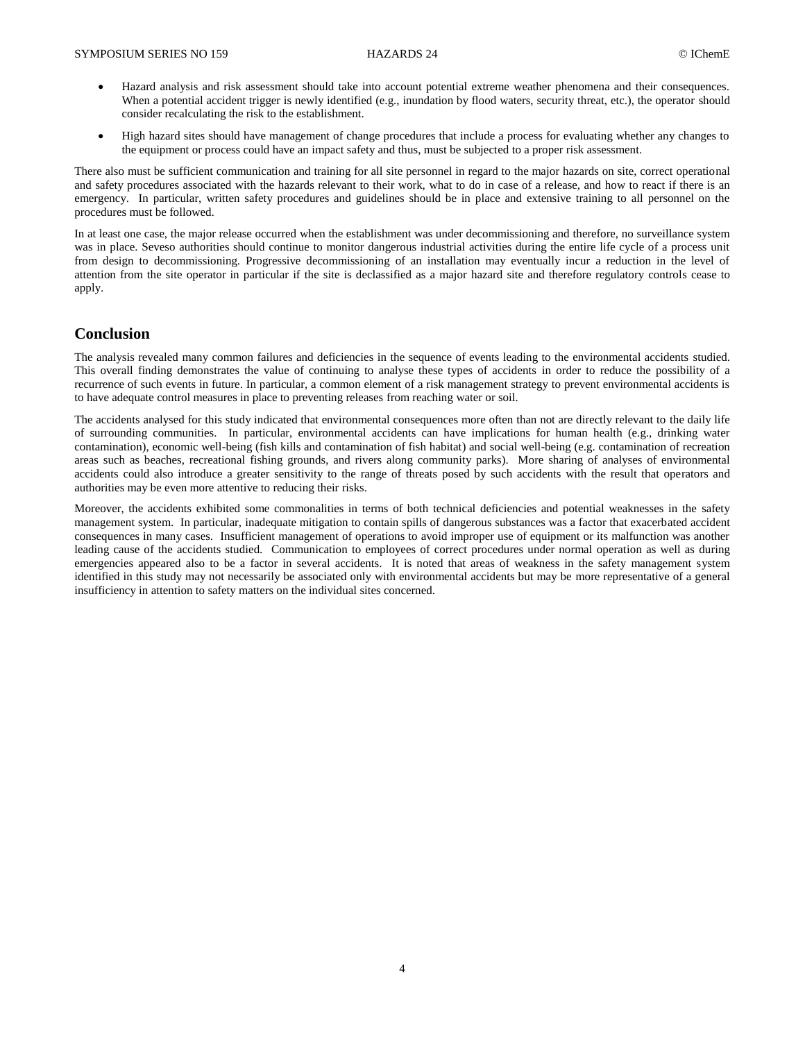- Hazard analysis and risk assessment should take into account potential extreme weather phenomena and their consequences. When a potential accident trigger is newly identified (e.g., inundation by flood waters, security threat, etc.), the operator should consider recalculating the risk to the establishment.
- High hazard sites should have management of change procedures that include a process for evaluating whether any changes to the equipment or process could have an impact safety and thus, must be subjected to a proper risk assessment.

There also must be sufficient communication and training for all site personnel in regard to the major hazards on site, correct operational and safety procedures associated with the hazards relevant to their work, what to do in case of a release, and how to react if there is an emergency. In particular, written safety procedures and guidelines should be in place and extensive training to all personnel on the procedures must be followed.

In at least one case, the major release occurred when the establishment was under decommissioning and therefore, no surveillance system was in place. Seveso authorities should continue to monitor dangerous industrial activities during the entire life cycle of a process unit from design to decommissioning. Progressive decommissioning of an installation may eventually incur a reduction in the level of attention from the site operator in particular if the site is declassified as a major hazard site and therefore regulatory controls cease to apply.

## **Conclusion**

The analysis revealed many common failures and deficiencies in the sequence of events leading to the environmental accidents studied. This overall finding demonstrates the value of continuing to analyse these types of accidents in order to reduce the possibility of a recurrence of such events in future. In particular, a common element of a risk management strategy to prevent environmental accidents is to have adequate control measures in place to preventing releases from reaching water or soil.

The accidents analysed for this study indicated that environmental consequences more often than not are directly relevant to the daily life of surrounding communities. In particular, environmental accidents can have implications for human health (e.g., drinking water contamination), economic well-being (fish kills and contamination of fish habitat) and social well-being (e.g. contamination of recreation areas such as beaches, recreational fishing grounds, and rivers along community parks). More sharing of analyses of environmental accidents could also introduce a greater sensitivity to the range of threats posed by such accidents with the result that operators and authorities may be even more attentive to reducing their risks.

Moreover, the accidents exhibited some commonalities in terms of both technical deficiencies and potential weaknesses in the safety management system. In particular, inadequate mitigation to contain spills of dangerous substances was a factor that exacerbated accident consequences in many cases. Insufficient management of operations to avoid improper use of equipment or its malfunction was another leading cause of the accidents studied. Communication to employees of correct procedures under normal operation as well as during emergencies appeared also to be a factor in several accidents. It is noted that areas of weakness in the safety management system identified in this study may not necessarily be associated only with environmental accidents but may be more representative of a general insufficiency in attention to safety matters on the individual sites concerned.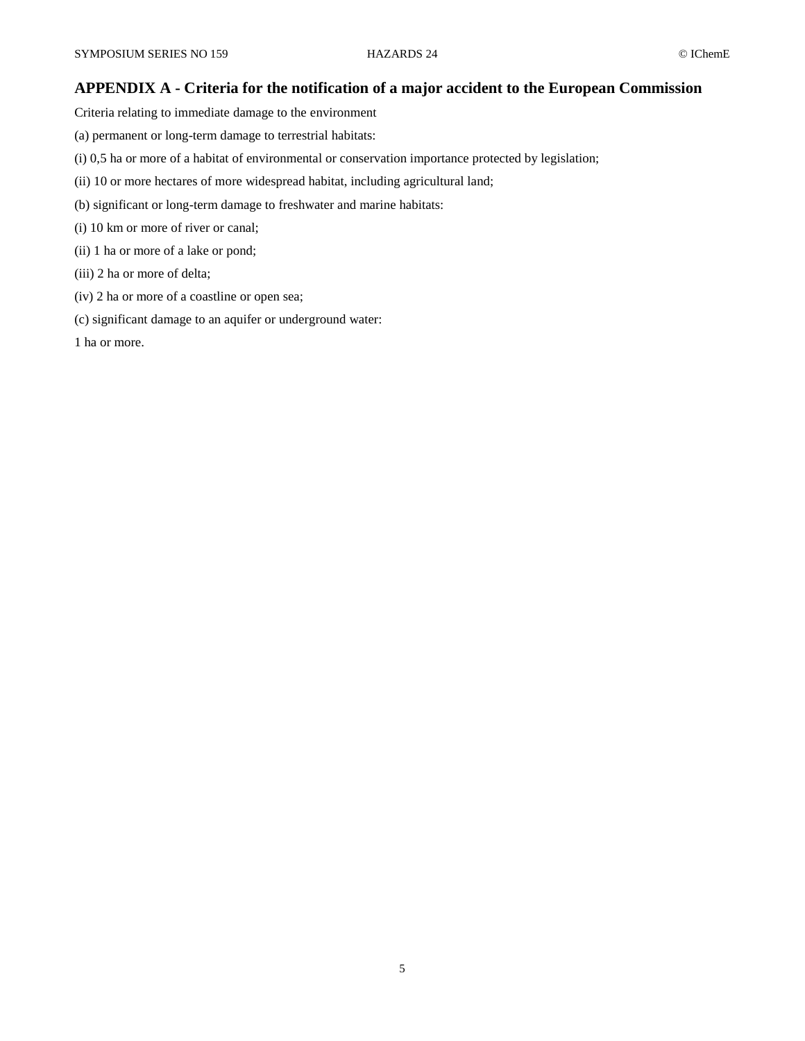## **APPENDIX A - Criteria for the notification of a major accident to the European Commission**

Criteria relating to immediate damage to the environment

- (a) permanent or long-term damage to terrestrial habitats:
- (i) 0,5 ha or more of a habitat of environmental or conservation importance protected by legislation;
- (ii) 10 or more hectares of more widespread habitat, including agricultural land;
- (b) significant or long-term damage to freshwater and marine habitats:
- (i) 10 km or more of river or canal;
- (ii) 1 ha or more of a lake or pond;
- (iii) 2 ha or more of delta;
- (iv) 2 ha or more of a coastline or open sea;
- (c) significant damage to an aquifer or underground water:

1 ha or more.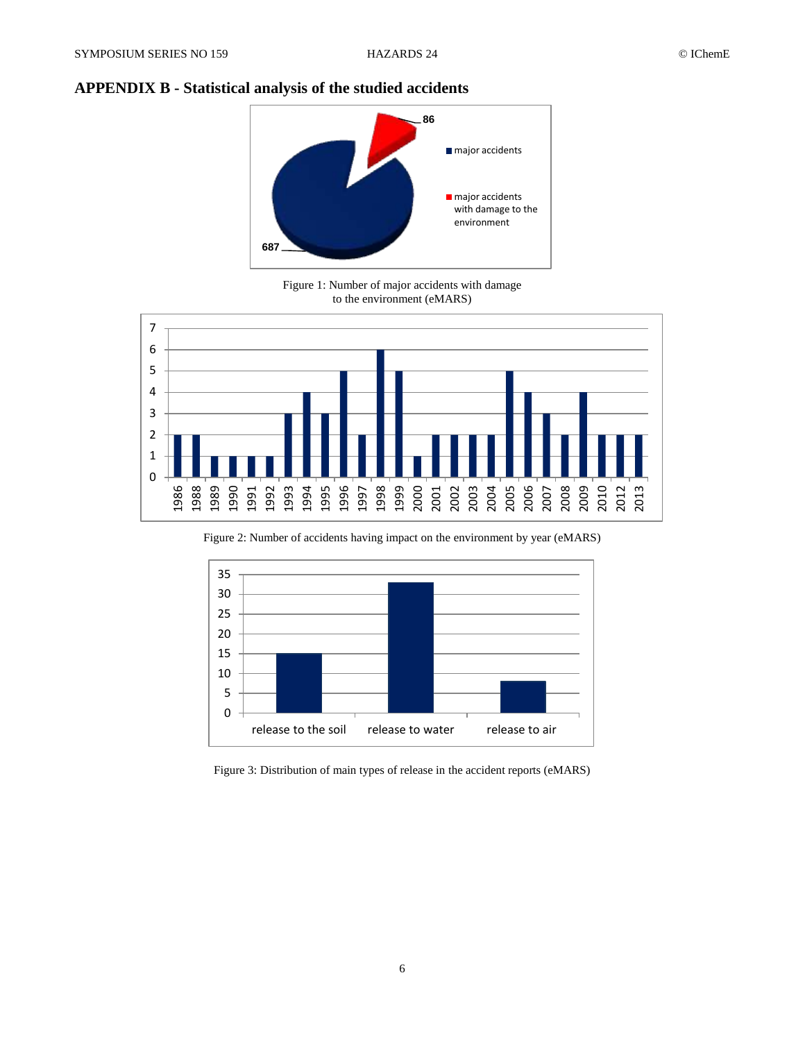## **APPENDIX B - Statistical analysis of the studied accidents**



Figure 1: Number of major accidents with damage to the environment (eMARS)



Figure 2: Number of accidents having impact on the environment by year (eMARS)



Figure 3: Distribution of main types of release in the accident reports (eMARS)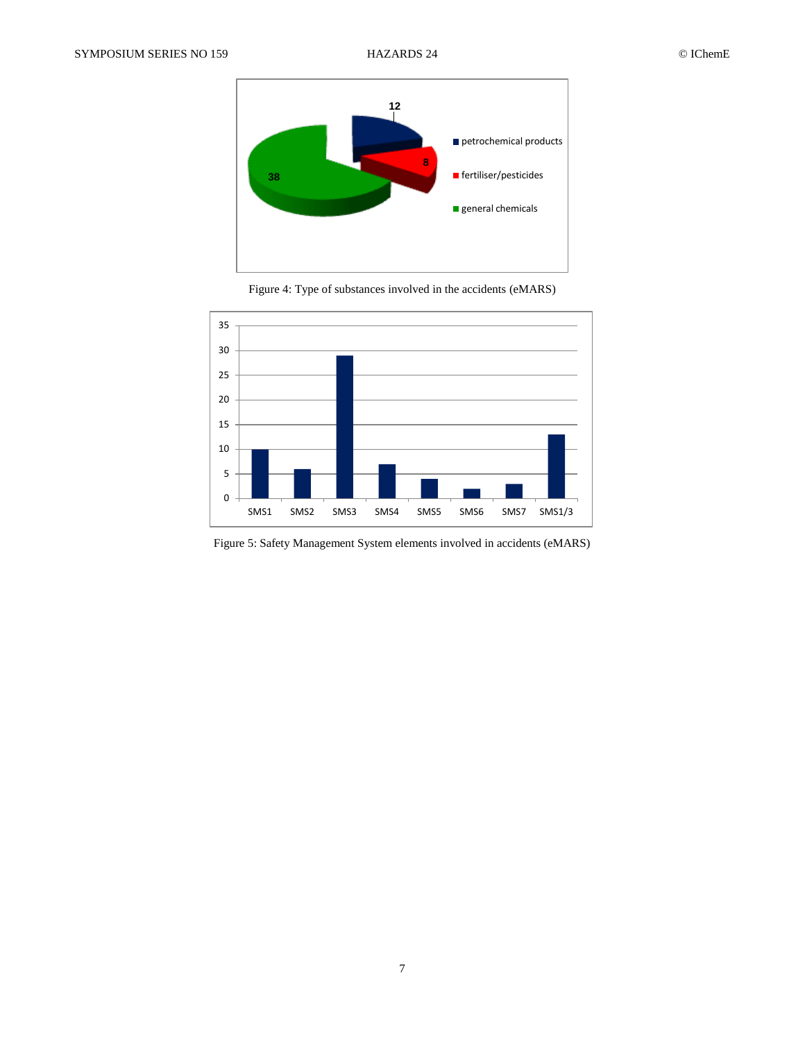

Figure 4: Type of substances involved in the accidents (eMARS)



Figure 5: Safety Management System elements involved in accidents (eMARS)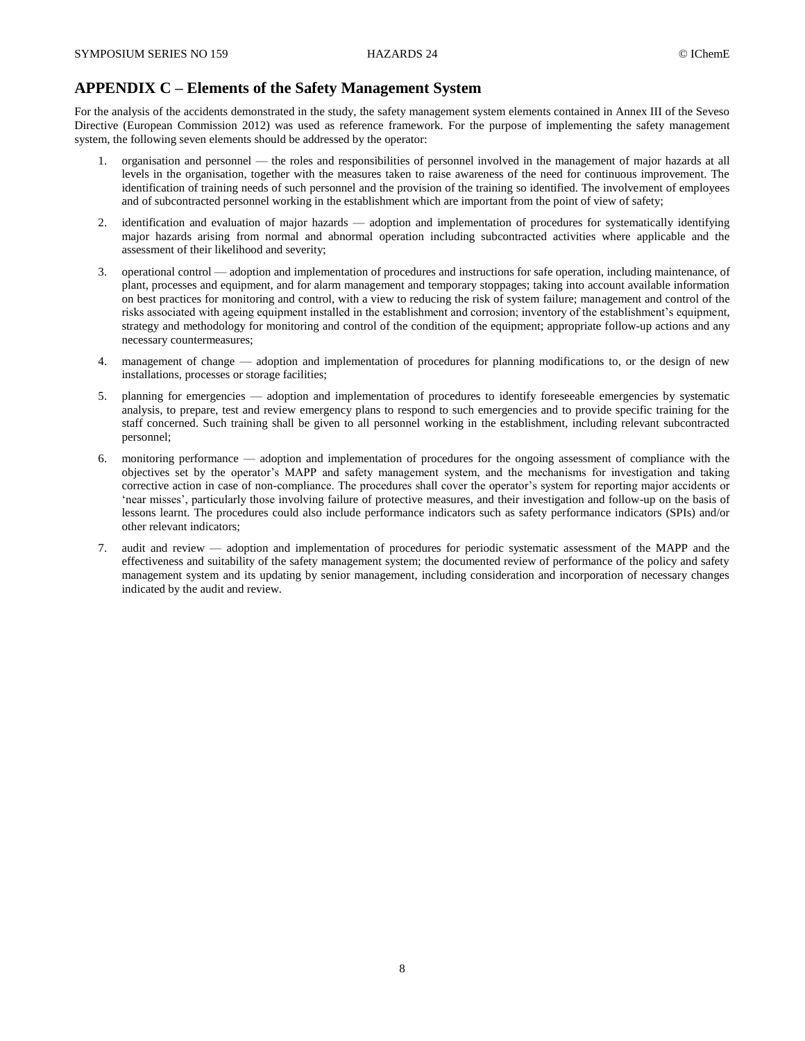## **APPENDIX C – Elements of the Safety Management System**

For the analysis of the accidents demonstrated in the study, the safety management system elements contained in Annex III of the Seveso Directive (European Commission 2012) was used as reference framework. For the purpose of implementing the safety management system, the following seven elements should be addressed by the operator:

- 1. organisation and personnel the roles and responsibilities of personnel involved in the management of major hazards at all levels in the organisation, together with the measures taken to raise awareness of the need for continuous improvement. The identification of training needs of such personnel and the provision of the training so identified. The involvement of employees and of subcontracted personnel working in the establishment which are important from the point of view of safety;
- 2. identification and evaluation of major hazards adoption and implementation of procedures for systematically identifying major hazards arising from normal and abnormal operation including subcontracted activities where applicable and the assessment of their likelihood and severity;
- 3. operational control adoption and implementation of procedures and instructions for safe operation, including maintenance, of plant, processes and equipment, and for alarm management and temporary stoppages; taking into account available information on best practices for monitoring and control, with a view to reducing the risk of system failure; management and control of the risks associated with ageing equipment installed in the establishment and corrosion; inventory of the establishment's equipment, strategy and methodology for monitoring and control of the condition of the equipment; appropriate follow-up actions and any necessary countermeasures;
- 4. management of change adoption and implementation of procedures for planning modifications to, or the design of new installations, processes or storage facilities;
- 5. planning for emergencies adoption and implementation of procedures to identify foreseeable emergencies by systematic analysis, to prepare, test and review emergency plans to respond to such emergencies and to provide specific training for the staff concerned. Such training shall be given to all personnel working in the establishment, including relevant subcontracted personnel;
- 6. monitoring performance adoption and implementation of procedures for the ongoing assessment of compliance with the objectives set by the operator's MAPP and safety management system, and the mechanisms for investigation and taking corrective action in case of non-compliance. The procedures shall cover the operator's system for reporting major accidents or 'near misses', particularly those involving failure of protective measures, and their investigation and follow-up on the basis of lessons learnt. The procedures could also include performance indicators such as safety performance indicators (SPIs) and/or other relevant indicators;
- 7. audit and review adoption and implementation of procedures for periodic systematic assessment of the MAPP and the effectiveness and suitability of the safety management system; the documented review of performance of the policy and safety management system and its updating by senior management, including consideration and incorporation of necessary changes indicated by the audit and review.